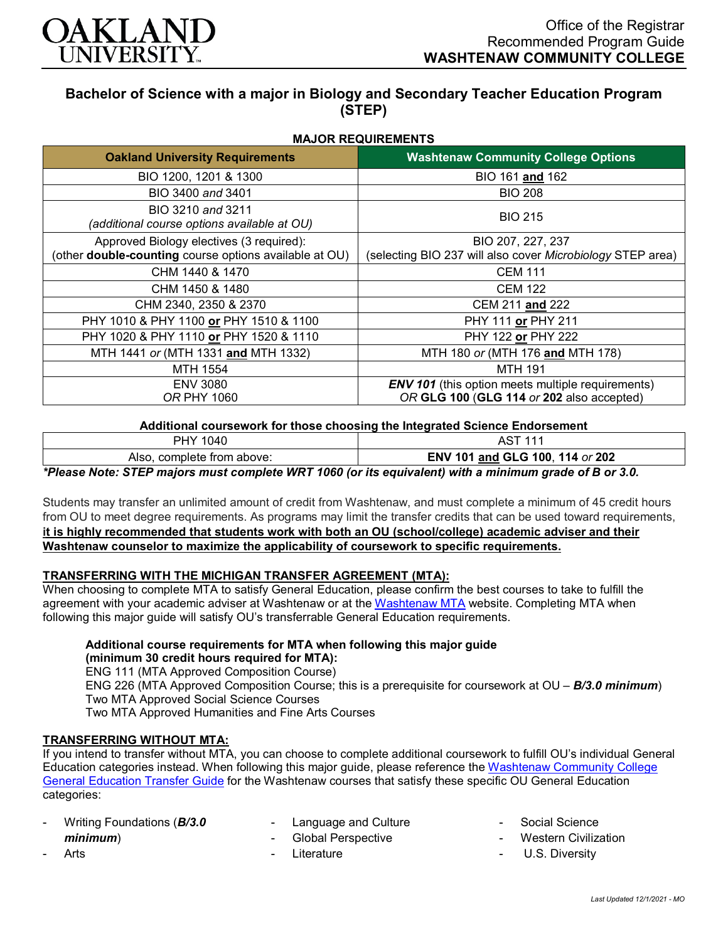

# **Bachelor of Science with a major in Biology and Secondary Teacher Education Program (STEP)**

**MAJOR REQUIREMENTS**

| <b>MAJOR REQUIREMENTS</b>                                                                                 |                                                                                                       |  |
|-----------------------------------------------------------------------------------------------------------|-------------------------------------------------------------------------------------------------------|--|
| <b>Oakland University Requirements</b>                                                                    | <b>Washtenaw Community College Options</b>                                                            |  |
| BIO 1200, 1201 & 1300                                                                                     | BIO 161 and 162                                                                                       |  |
| BIO 3400 and 3401                                                                                         | <b>BIO 208</b>                                                                                        |  |
| BIO 3210 and 3211<br>(additional course options available at OU)                                          | <b>BIO 215</b>                                                                                        |  |
| Approved Biology electives (3 required):<br>(other <b>double-counting</b> course options available at OU) | BIO 207, 227, 237<br>(selecting BIO 237 will also cover Microbiology STEP area)                       |  |
| CHM 1440 & 1470                                                                                           | <b>CEM 111</b>                                                                                        |  |
| CHM 1450 & 1480                                                                                           | <b>CEM 122</b>                                                                                        |  |
| CHM 2340, 2350 & 2370                                                                                     | CEM 211 and 222                                                                                       |  |
| PHY 1010 & PHY 1100 or PHY 1510 & 1100                                                                    | PHY 111 or PHY 211                                                                                    |  |
| PHY 1020 & PHY 1110 or PHY 1520 & 1110                                                                    | PHY 122 or PHY 222                                                                                    |  |
| MTH 1441 or (MTH 1331 and MTH 1332)                                                                       | MTH 180 or (MTH 176 and MTH 178)                                                                      |  |
| MTH 1554                                                                                                  | <b>MTH 191</b>                                                                                        |  |
| <b>ENV 3080</b><br><b>OR PHY 1060</b>                                                                     | <b>ENV 101</b> (this option meets multiple requirements)<br>OR GLG 100 (GLG 114 or 202 also accepted) |  |

#### **Additional coursework for those choosing the Integrated Science Endorsement**

| PHY 1040                                                                                               | <b>AST 111</b>                  |
|--------------------------------------------------------------------------------------------------------|---------------------------------|
| Also, complete from above:                                                                             | ENV 101 and GLG 100, 114 or 202 |
| *Please Note: STEP majors must complete WRT 1060 (or its equivalent) with a minimum grade of B or 3.0. |                                 |

Students may transfer an unlimited amount of credit from Washtenaw, and must complete a minimum of 45 credit hours from OU to meet degree requirements. As programs may limit the transfer credits that can be used toward requirements, **it is highly recommended that students work with both an OU (school/college) academic adviser and their Washtenaw counselor to maximize the applicability of coursework to specific requirements.**

## **TRANSFERRING WITH THE MICHIGAN TRANSFER AGREEMENT (MTA):**

When choosing to complete MTA to satisfy General Education, please confirm the best courses to take to fulfill the agreement with your academic adviser at Washtenaw or at the [Washtenaw MTA](https://www.wccnet.edu/learn/transfer-wcc-credits/mta.php) website. Completing MTA when following this major guide will satisfy OU's transferrable General Education requirements.

#### **Additional course requirements for MTA when following this major guide (minimum 30 credit hours required for MTA):**

ENG 111 (MTA Approved Composition Course) ENG 226 (MTA Approved Composition Course; this is a prerequisite for coursework at OU – *B/3.0 minimum*) Two MTA Approved Social Science Courses Two MTA Approved Humanities and Fine Arts Courses

## **TRANSFERRING WITHOUT MTA:**

If you intend to transfer without MTA, you can choose to complete additional coursework to fulfill OU's individual General Education categories instead. When following this major guide, please reference th[e Washtenaw Community College](https://www.oakland.edu/Assets/Oakland/program-guides/washtenaw-community-college/university-general-education-requirements/Washtenaw%20Gen%20Ed.pdf)  [General Education Transfer Guide](https://www.oakland.edu/Assets/Oakland/program-guides/washtenaw-community-college/university-general-education-requirements/Washtenaw%20Gen%20Ed.pdf) for the Washtenaw courses that satisfy these specific OU General Education categories:

| $\blacksquare$ | Writing Foundations (B/3.0 |
|----------------|----------------------------|
|                | minimum)                   |
| $\sim$         | Arts                       |

Language and Culture

**Literature** 

Global Perspective

- Social Science
	- Western Civilization
	- U.S. Diversity